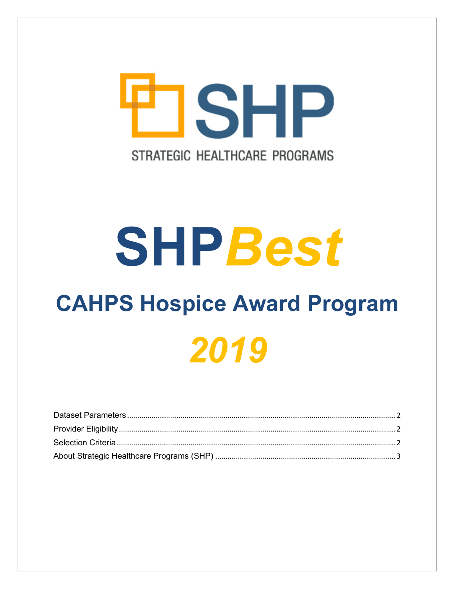

# **SHPBest**

# **CAHPS Hospice Award Program** 2019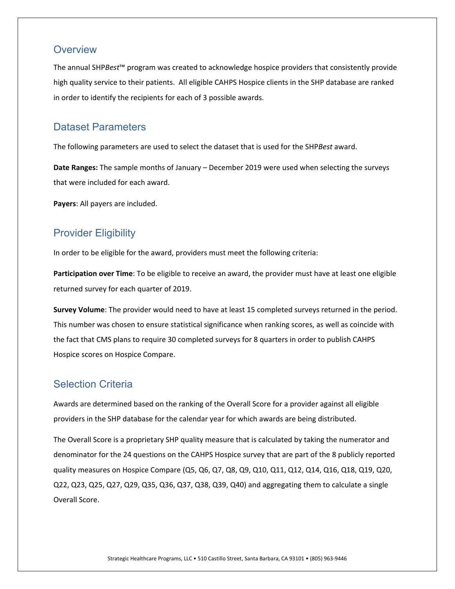#### **Overview**

The annual SHP*Best*™ program was created to acknowledge hospice providers that consistently provide high quality service to their patients. All eligible CAHPS Hospice clients in the SHP database are ranked in order to identify the recipients for each of 3 possible awards.

#### <span id="page-1-0"></span>Dataset Parameters

The following parameters are used to select the dataset that is used for the SHP*Best* award.

**Date Ranges:** The sample months of January – December 2019 were used when selecting the surveys that were included for each award.

**Payers**: All payers are included.

### <span id="page-1-1"></span>Provider Eligibility

In order to be eligible for the award, providers must meet the following criteria:

**Participation over Time**: To be eligible to receive an award, the provider must have at least one eligible returned survey for each quarter of 2019.

**Survey Volume**: The provider would need to have at least 15 completed surveys returned in the period. This number was chosen to ensure statistical significance when ranking scores, as well as coincide with the fact that CMS plans to require 30 completed surveys for 8 quarters in order to publish CAHPS Hospice scores on Hospice Compare.

## <span id="page-1-2"></span>Selection Criteria

Awards are determined based on the ranking of the Overall Score for a provider against all eligible providers in the SHP database for the calendar year for which awards are being distributed.

The Overall Score is a proprietary SHP quality measure that is calculated by taking the numerator and denominator for the 24 questions on the CAHPS Hospice survey that are part of the 8 publicly reported quality measures on Hospice Compare (Q5, Q6, Q7, Q8, Q9, Q10, Q11, Q12, Q14, Q16, Q18, Q19, Q20, Q22, Q23, Q25, Q27, Q29, Q35, Q36, Q37, Q38, Q39, Q40) and aggregating them to calculate a single Overall Score.